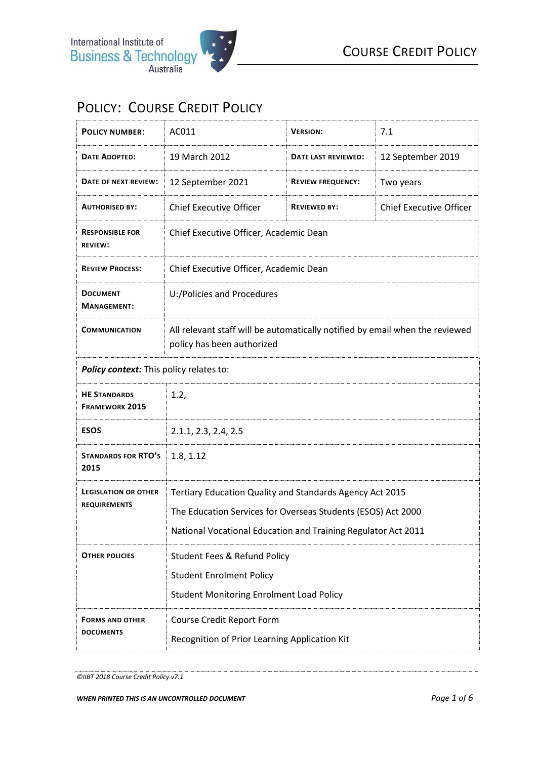## POLICY: COURSE CREDIT POLICY

| <b>POLICY NUMBER:</b>                              | AC011                                                                                                      | <b>VERSION:</b>          | 7.1                            |
|----------------------------------------------------|------------------------------------------------------------------------------------------------------------|--------------------------|--------------------------------|
| <b>DATE ADOPTED:</b>                               | 19 March 2012                                                                                              | DATE LAST REVIEWED:      | 12 September 2019              |
| DATE OF NEXT REVIEW:                               | 12 September 2021                                                                                          | <b>REVIEW FREQUENCY:</b> | Two years                      |
| <b>AUTHORISED BY:</b>                              | <b>Chief Executive Officer</b>                                                                             | <b>REVIEWED BY:</b>      | <b>Chief Executive Officer</b> |
| <b>RESPONSIBLE FOR</b><br><b>REVIEW:</b>           | Chief Executive Officer, Academic Dean                                                                     |                          |                                |
| <b>REVIEW PROCESS:</b>                             | Chief Executive Officer, Academic Dean                                                                     |                          |                                |
| <b>DOCUMENT</b><br><b>MANAGEMENT:</b>              | U:/Policies and Procedures                                                                                 |                          |                                |
| <b>COMMUNICATION</b>                               | All relevant staff will be automatically notified by email when the reviewed<br>policy has been authorized |                          |                                |
| Policy context: This policy relates to:            |                                                                                                            |                          |                                |
| <b>HE STANDARDS</b><br><b>FRAMEWORK 2015</b>       | 1.2,                                                                                                       |                          |                                |
| <b>ESOS</b>                                        | 2.1.1, 2.3, 2.4, 2.5                                                                                       |                          |                                |
| <b>STANDARDS FOR RTO'S</b><br>2015                 | 1.8, 1.12                                                                                                  |                          |                                |
| <b>LEGISLATION OR OTHER</b><br><b>REQUIREMENTS</b> | Tertiary Education Quality and Standards Agency Act 2015                                                   |                          |                                |
|                                                    | The Education Services for Overseas Students (ESOS) Act 2000                                               |                          |                                |
|                                                    | National Vocational Education and Training Regulator Act 2011                                              |                          |                                |
| <b>OTHER POLICIES</b>                              | <b>Student Fees &amp; Refund Policy</b>                                                                    |                          |                                |
|                                                    | <b>Student Enrolment Policy</b>                                                                            |                          |                                |
|                                                    | <b>Student Monitoring Enrolment Load Policy</b>                                                            |                          |                                |
| <b>FORMS AND OTHER</b><br><b>DOCUMENTS</b>         | <b>Course Credit Report Form</b>                                                                           |                          |                                |
|                                                    | Recognition of Prior Learning Application Kit                                                              |                          |                                |

*<sup>©</sup>IIBT 2018 Course Credit Policy v7.1*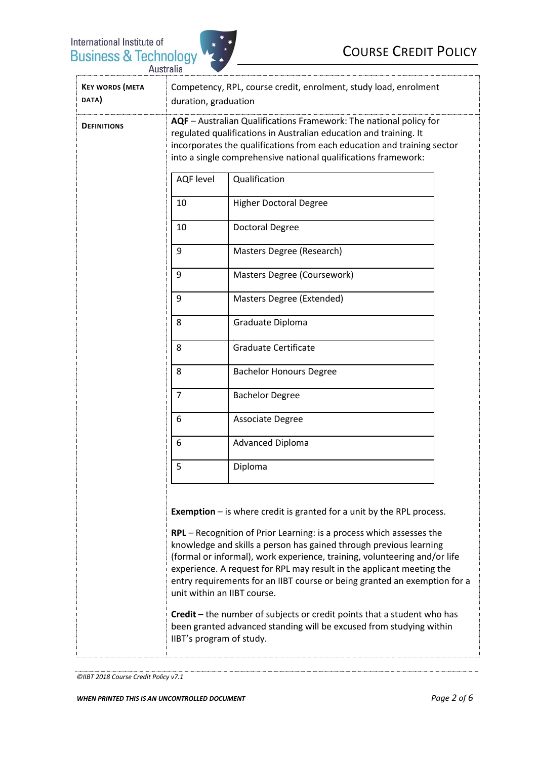

| <b>DEFINITIONS</b> | AQF - Australian Qualifications Framework: The national policy for<br>regulated qualifications in Australian education and training. It<br>incorporates the qualifications from each education and training sector<br>into a single comprehensive national qualifications framework: |                                |                               |
|--------------------|--------------------------------------------------------------------------------------------------------------------------------------------------------------------------------------------------------------------------------------------------------------------------------------|--------------------------------|-------------------------------|
|                    |                                                                                                                                                                                                                                                                                      |                                |                               |
|                    |                                                                                                                                                                                                                                                                                      | 10                             | <b>Higher Doctoral Degree</b> |
|                    | 10                                                                                                                                                                                                                                                                                   | <b>Doctoral Degree</b>         |                               |
|                    | 9                                                                                                                                                                                                                                                                                    | Masters Degree (Research)      |                               |
|                    | 9                                                                                                                                                                                                                                                                                    | Masters Degree (Coursework)    |                               |
|                    | 9                                                                                                                                                                                                                                                                                    | Masters Degree (Extended)      |                               |
|                    | 8                                                                                                                                                                                                                                                                                    | Graduate Diploma               |                               |
|                    | 8                                                                                                                                                                                                                                                                                    | <b>Graduate Certificate</b>    |                               |
|                    | 8                                                                                                                                                                                                                                                                                    | <b>Bachelor Honours Degree</b> |                               |
|                    | $\overline{7}$                                                                                                                                                                                                                                                                       | <b>Bachelor Degree</b>         |                               |
|                    | 6                                                                                                                                                                                                                                                                                    | Associate Degree               |                               |
|                    | 6                                                                                                                                                                                                                                                                                    | <b>Advanced Diploma</b>        |                               |
|                    | 5                                                                                                                                                                                                                                                                                    | Diploma                        |                               |

**Exemption** – is where credit is granted for a unit by the RPL process.

**RPL** – Recognition of Prior Learning: is a process which assesses the knowledge and skills a person has gained through previous learning (formal or informal), work experience, training, volunteering and/or life experience. A request for RPL may result in the applicant meeting the entry requirements for an IIBT course or being granted an exemption for a unit within an IIBT course.

**Credit** – the number of subjects or credit points that a student who has been granted advanced standing will be excused from studying within IIBT's program of study.

```
©IIBT 2018 Course Credit Policy v7.1
```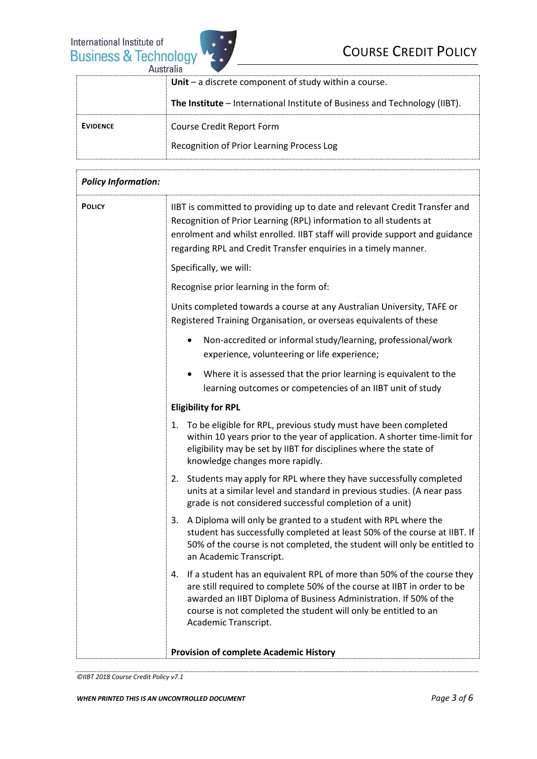

| AUNITALIA       |                                                                            |  |
|-----------------|----------------------------------------------------------------------------|--|
|                 | Unit $-$ a discrete component of study within a course.                    |  |
|                 | The Institute – International Institute of Business and Technology (IIBT). |  |
| <b>EVIDENCE</b> | Course Credit Report Form                                                  |  |
|                 | Recognition of Prior Learning Process Log                                  |  |

| <b>Policy Information:</b> |                                                                                                                                                                                                                                                                                                                         |  |
|----------------------------|-------------------------------------------------------------------------------------------------------------------------------------------------------------------------------------------------------------------------------------------------------------------------------------------------------------------------|--|
| <b>POLICY</b>              | IIBT is committed to providing up to date and relevant Credit Transfer and<br>Recognition of Prior Learning (RPL) information to all students at<br>enrolment and whilst enrolled. IIBT staff will provide support and guidance<br>regarding RPL and Credit Transfer enquiries in a timely manner.                      |  |
|                            | Specifically, we will:                                                                                                                                                                                                                                                                                                  |  |
|                            | Recognise prior learning in the form of:                                                                                                                                                                                                                                                                                |  |
|                            | Units completed towards a course at any Australian University, TAFE or<br>Registered Training Organisation, or overseas equivalents of these                                                                                                                                                                            |  |
|                            | Non-accredited or informal study/learning, professional/work<br>experience, volunteering or life experience;                                                                                                                                                                                                            |  |
|                            | Where it is assessed that the prior learning is equivalent to the<br>learning outcomes or competencies of an IIBT unit of study                                                                                                                                                                                         |  |
|                            | <b>Eligibility for RPL</b>                                                                                                                                                                                                                                                                                              |  |
|                            | To be eligible for RPL, previous study must have been completed<br>1.<br>within 10 years prior to the year of application. A shorter time-limit for<br>eligibility may be set by IIBT for disciplines where the state of<br>knowledge changes more rapidly.                                                             |  |
|                            | Students may apply for RPL where they have successfully completed<br>2.<br>units at a similar level and standard in previous studies. (A near pass<br>grade is not considered successful completion of a unit)                                                                                                          |  |
|                            | A Diploma will only be granted to a student with RPL where the<br>3.<br>student has successfully completed at least 50% of the course at IIBT. If<br>50% of the course is not completed, the student will only be entitled to<br>an Academic Transcript.                                                                |  |
|                            | If a student has an equivalent RPL of more than 50% of the course they<br>4.<br>are still required to complete 50% of the course at IIBT in order to be<br>awarded an IIBT Diploma of Business Administration. If 50% of the<br>course is not completed the student will only be entitled to an<br>Academic Transcript. |  |
|                            | <b>Provision of complete Academic History</b>                                                                                                                                                                                                                                                                           |  |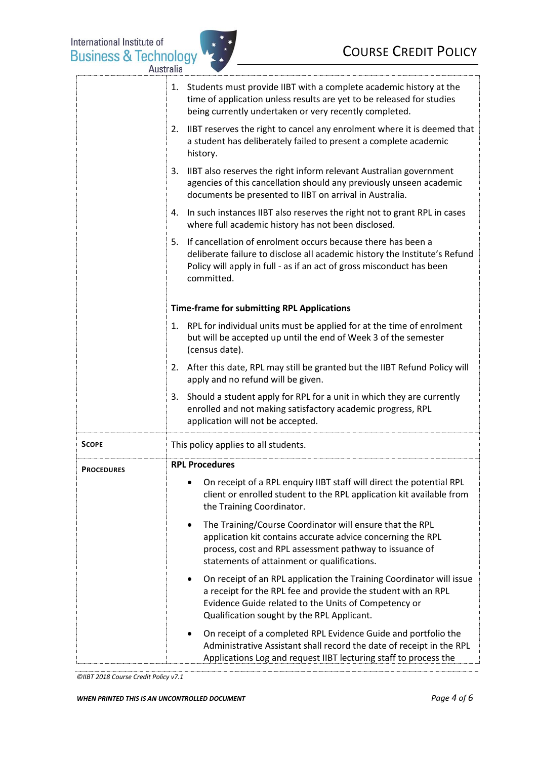

|                   | 1. Students must provide IIBT with a complete academic history at the<br>time of application unless results are yet to be released for studies<br>being currently undertaken or very recently completed.                                       |
|-------------------|------------------------------------------------------------------------------------------------------------------------------------------------------------------------------------------------------------------------------------------------|
|                   | 2. IIBT reserves the right to cancel any enrolment where it is deemed that<br>a student has deliberately failed to present a complete academic<br>history.                                                                                     |
|                   | 3. IIBT also reserves the right inform relevant Australian government<br>agencies of this cancellation should any previously unseen academic<br>documents be presented to IIBT on arrival in Australia.                                        |
|                   | In such instances IIBT also reserves the right not to grant RPL in cases<br>4.<br>where full academic history has not been disclosed.                                                                                                          |
|                   | If cancellation of enrolment occurs because there has been a<br>5.<br>deliberate failure to disclose all academic history the Institute's Refund<br>Policy will apply in full - as if an act of gross misconduct has been<br>committed.        |
|                   | <b>Time-frame for submitting RPL Applications</b>                                                                                                                                                                                              |
|                   | RPL for individual units must be applied for at the time of enrolment<br>1.<br>but will be accepted up until the end of Week 3 of the semester<br>(census date).                                                                               |
|                   | 2. After this date, RPL may still be granted but the IIBT Refund Policy will<br>apply and no refund will be given.                                                                                                                             |
|                   | 3. Should a student apply for RPL for a unit in which they are currently<br>enrolled and not making satisfactory academic progress, RPL<br>application will not be accepted.                                                                   |
| <b>SCOPE</b>      | This policy applies to all students.                                                                                                                                                                                                           |
| <b>PROCEDURES</b> | <b>RPL Procedures</b>                                                                                                                                                                                                                          |
|                   | On receipt of a RPL enquiry IIBT staff will direct the potential RPL<br>client or enrolled student to the RPL application kit available from<br>the Training Coordinator.                                                                      |
|                   | The Training/Course Coordinator will ensure that the RPL<br>$\bullet$<br>application kit contains accurate advice concerning the RPL<br>process, cost and RPL assessment pathway to issuance of<br>statements of attainment or qualifications. |
|                   | On receipt of an RPL application the Training Coordinator will issue<br>a receipt for the RPL fee and provide the student with an RPL<br>Evidence Guide related to the Units of Competency or<br>Qualification sought by the RPL Applicant.    |
|                   | On receipt of a completed RPL Evidence Guide and portfolio the<br>٠<br>Administrative Assistant shall record the date of receipt in the RPL<br>Applications Log and request IIBT lecturing staff to process the                                |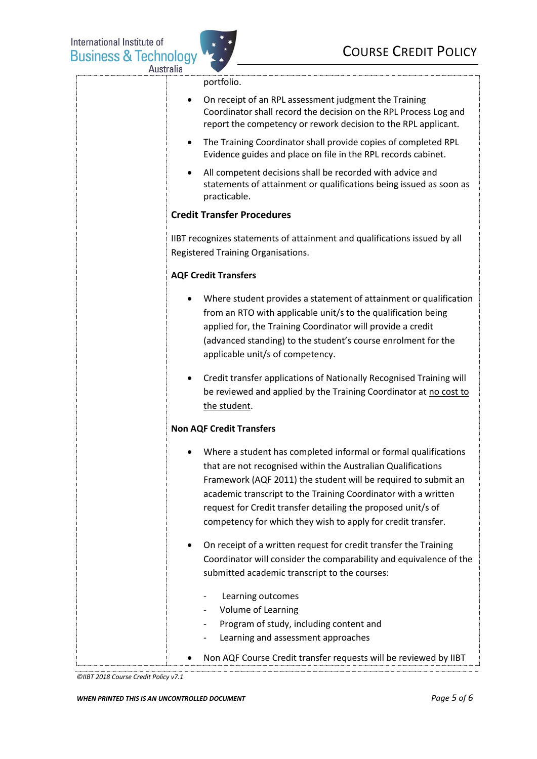

portfolio.

• On receipt of an RPL assessment judgment the Training Coordinator shall record the decision on the RPL Process Log and report the competency or rework decision to the RPL applicant. • The Training Coordinator shall provide copies of completed RPL Evidence guides and place on file in the RPL records cabinet. • All competent decisions shall be recorded with advice and statements of attainment or qualifications being issued as soon as practicable. **Credit Transfer Procedures** IIBT recognizes statements of attainment and qualifications issued by all Registered Training Organisations. **AQF Credit Transfers**  • Where student provides a statement of attainment or qualification from an RTO with applicable unit/s to the qualification being applied for, the Training Coordinator will provide a credit (advanced standing) to the student's course enrolment for the applicable unit/s of competency. • Credit transfer applications of Nationally Recognised Training will be reviewed and applied by the Training Coordinator at no cost to the student. **Non AQF Credit Transfers** • Where a student has completed informal or formal qualifications that are not recognised within the Australian Qualifications Framework (AQF 2011) the student will be required to submit an academic transcript to the Training Coordinator with a written request for Credit transfer detailing the proposed unit/s of competency for which they wish to apply for credit transfer. • On receipt of a written request for credit transfer the Training Coordinator will consider the comparability and equivalence of the submitted academic transcript to the courses: Learning outcomes Volume of Learning Program of study, including content and Learning and assessment approaches • Non AQF Course Credit transfer requests will be reviewed by IIBT